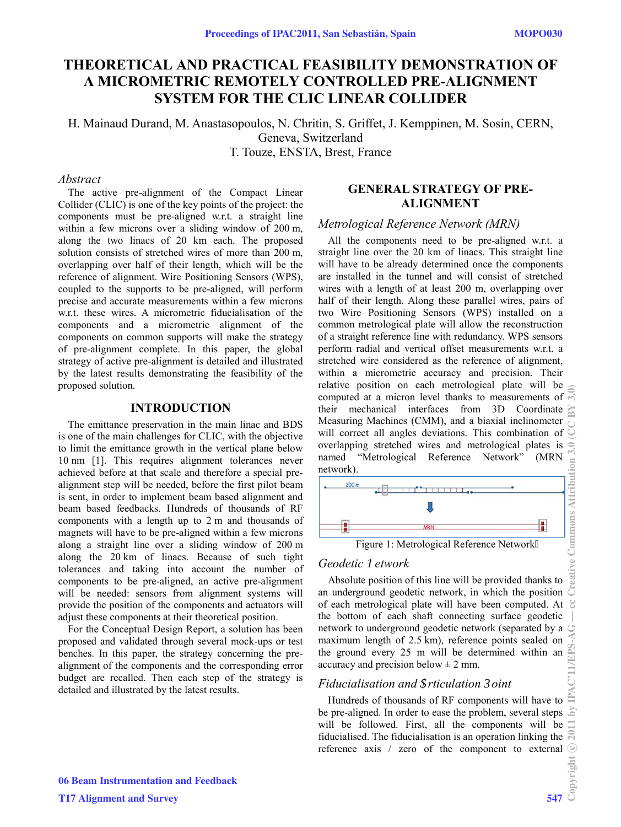# **THEORETICAL AND PRACTICAL FEASIBILITY DEMONSTRATION OF A MICROMETRIC REMOTELY CONTROLLED PRE-ALIGNMENT SYSTEM FOR THE CLIC LINEAR COLLIDER**

H. Mainaud Durand, M. Anastasopoulos, N. Chritin, S. Griffet, J. Kemppinen, M. Sosin, CERN, Geneva, Switzerland T. Touze, ENSTA, Brest, France

### *Abstract*

The active pre-alignment of the Compact Linear Collider (CLIC) is one of the key points of the project: the components must be pre-aligned w.r.t. a straight line within a few microns over a sliding window of 200 m, along the two linacs of 20 km each. The proposed solution consists of stretched wires of more than 200 m, overlapping over half of their length, which will be the reference of alignment. Wire Positioning Sensors (WPS), coupled to the supports to be pre-aligned, will perform precise and accurate measurements within a few microns w.r.t. these wires. A micrometric fiducialisation of the components and a micrometric alignment of the components on common supports will make the strategy of pre-alignment complete. In this paper, the global strategy of active pre-alignment is detailed and illustrated by the latest results demonstrating the feasibility of the proposed solution.

#### **INTRODUCTION**

The emittance preservation in the main linac and BDS is one of the main challenges for CLIC, with the objective to limit the emittance growth in the vertical plane below 10 nm [1]. This requires alignment tolerances never achieved before at that scale and therefore a special prealignment step will be needed, before the first pilot beam is sent, in order to implement beam based alignment and beam based feedbacks. Hundreds of thousands of RF components with a length up to 2 m and thousands of magnets will have to be pre-aligned within a few microns along a straight line over a sliding window of 200 m along the 20 km of linacs. Because of such tight tolerances and taking into account the number of components to be pre-aligned, an active pre-alignment will be needed: sensors from alignment systems will provide the position of the components and actuators will adjust these components at their theoretical position.

For the Conceptual Design Report, a solution has been proposed and validated through several mock-ups or test benches. In this paper, the strategy concerning the prealignment of the components and the corresponding error budget are recalled. Then each step of the strategy is detailed and illustrated by the latest results.

## **GENERAL STRATEGY OF PRE-ALIGNMENT**

### *Metrological Reference Network (MRN)*

All the components need to be pre-aligned w.r.t. a straight line over the 20 km of linacs. This straight line will have to be already determined once the components are installed in the tunnel and will consist of stretched wires with a length of at least 200 m, overlapping over half of their length. Along these parallel wires, pairs of two Wire Positioning Sensors (WPS) installed on a common metrological plate will allow the reconstruction of a straight reference line with redundancy. WPS sensors perform radial and vertical offset measurements w.r.t. a stretched wire considered as the reference of alignment, within a micrometric accuracy and precision. Their relative position on each metrological plate will be computed at a micron level thanks to measurements of their mechanical interfaces from 3D Coordinate Measuring Machines (CMM), and a biaxial inclinometer will correct all angles deviations. This combination of overlapping stretched wires and metrological plates is named "Metrological Reference Network" (MRN network).



Figure 1: Metrological Reference Network

### *Geodetic 1etwork*

Absolute position of this line will be provided thanks to an underground geodetic network, in which the position  $\overline{C}$ of each metrological plate will have been computed. At  $\mathcal{C}$ the bottom of each shaft connecting surface geodetic network to underground geodetic network (separated by a maximum length of 2.5 km), reference points sealed on the ground every 25 m will be determined within an accuracy and precision below  $\pm$  2 mm.

### *Fiducialisation and \$rticulation 3oint*

Hundreds of thousands of RF components will have to  $\mathbb{\tilde{E}}$ be pre-aligned. In order to ease the problem, several steps will be followed. First, all the components will be fiducialised. The fiducialisation is an operation linking the reference axis / zero of the component to external  $\odot$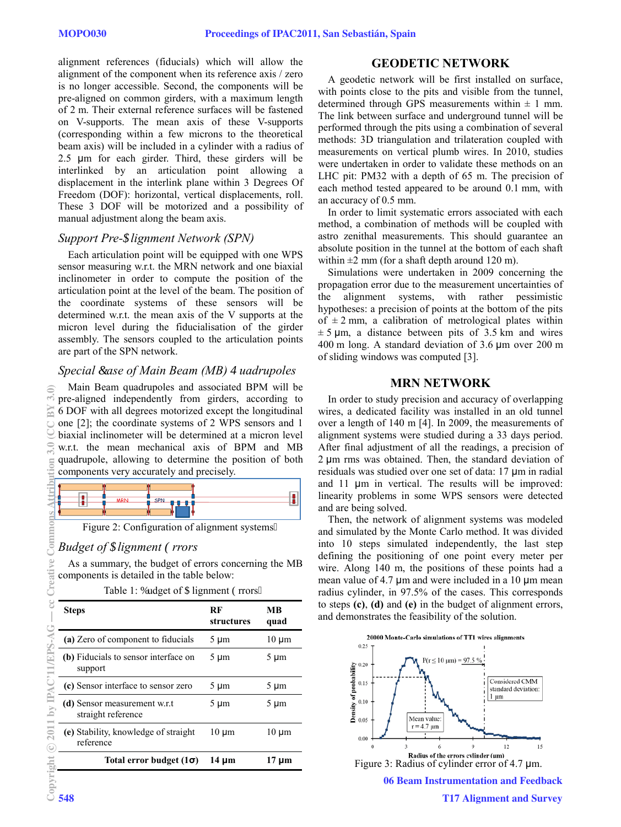alignment references (fiducials) which will allow the alignment of the component when its reference axis / zero is no longer accessible. Second, the components will be pre-aligned on common girders, with a maximum length of 2 m. Their external reference surfaces will be fastened on V-supports. The mean axis of these V-supports (corresponding within a few microns to the theoretical beam axis) will be included in a cylinder with a radius of 2.5  $\mu$ m for each girder. Third, these girders will be interlinked by an articulation point allowing a displacement in the interlink plane within 3 Degrees Of Freedom (DOF): horizontal, vertical displacements, roll. These 3 DOF will be motorized and a possibility of manual adjustment along the beam axis.

### *Support Pre-\$lignment Network (SPN)*

Each articulation point will be equipped with one WPS sensor measuring w.r.t. the MRN network and one biaxial inclinometer in order to compute the position of the articulation point at the level of the beam. The position of the coordinate systems of these sensors will be determined w.r.t. the mean axis of the V supports at the micron level during the fiducialisation of the girder assembly. The sensors coupled to the articulation points are part of the SPN network.

## *Special Ease of Main Beam (MB) S uadrupoles*

Main Beam quadrupoles and associated BPM will be pre-aligned independently from girders, according to 6 DOF with all degrees motorized except the longitudinal one [2]; the coordinate systems of 2 WPS sensors and 1 biaxial inclinometer will be determined at a micron level w.r.t. the mean mechanical axis of BPM and MB quadrupole, allowing to determine the position of both components very accurately and precisely.



Figure 2: Configuration of alignment systems0

# *Budget of \$lignment (rrors*

As a summary, the budget of errors concerning the MB components is detailed in the table below:

Table 1: Dudget of Clignment Grrors0

| <b>Steps</b>                                       | RF<br>structures | MВ<br>quad |
|----------------------------------------------------|------------------|------------|
| (a) Zero of component to fiducials                 | $5 \mu m$        | $10 \mu m$ |
| (b) Fiducials to sensor interface on<br>support    | $5 \mu m$        | $5 \mu m$  |
| (c) Sensor interface to sensor zero                | $5 \mu m$        | $5 \mu m$  |
| (d) Sensor measurement w.r.t<br>straight reference | $5 \mu m$        | $5 \mu m$  |
| (e) Stability, knowledge of straight<br>reference  | $10 \mu m$       | 10 µm      |
| Total error budget $(1\sigma)$                     | 14 µm            | 17 µm      |

# **GEODETIC NETWORK**

A geodetic network will be first installed on surface, with points close to the pits and visible from the tunnel, determined through GPS measurements within  $\pm$  1 mm. The link between surface and underground tunnel will be performed through the pits using a combination of several methods: 3D triangulation and trilateration coupled with measurements on vertical plumb wires. In 2010, studies were undertaken in order to validate these methods on an LHC pit: PM32 with a depth of 65 m. The precision of each method tested appeared to be around 0.1 mm, with an accuracy of 0.5 mm.

In order to limit systematic errors associated with each method, a combination of methods will be coupled with astro zenithal measurements. This should guarantee an absolute position in the tunnel at the bottom of each shaft within  $\pm 2$  mm (for a shaft depth around 120 m).

Simulations were undertaken in 2009 concerning the propagation error due to the measurement uncertainties of the alignment systems, with rather pessimistic hypotheses: a precision of points at the bottom of the pits of  $\pm$  2 mm, a calibration of metrological plates within  $\pm$  5 µm, a distance between pits of 3.5 km and wires 400 m long. A standard deviation of  $3.6 \mu m$  over 200 m of sliding windows was computed [3].

### **MRN NETWORK**

In order to study precision and accuracy of overlapping wires, a dedicated facility was installed in an old tunnel over a length of 140 m [4]. In 2009, the measurements of alignment systems were studied during a 33 days period. After final adjustment of all the readings, a precision of  $2 \mu m$  rms was obtained. Then, the standard deviation of residuals was studied over one set of data:  $17 \mu m$  in radial and  $11 \mu m$  in vertical. The results will be improved: linearity problems in some WPS sensors were detected and are being solved.

Then, the network of alignment systems was modeled and simulated by the Monte Carlo method. It was divided into 10 steps simulated independently, the last step defining the positioning of one point every meter per wire. Along 140 m, the positions of these points had a mean value of 4.7  $\mu$ m and were included in a 10  $\mu$ m mean radius cylinder, in 97.5% of the cases. This corresponds to steps **(c)**, **(d)** and **(e)** in the budget of alignment errors, and demonstrates the feasibility of the solution.



 $3.0$